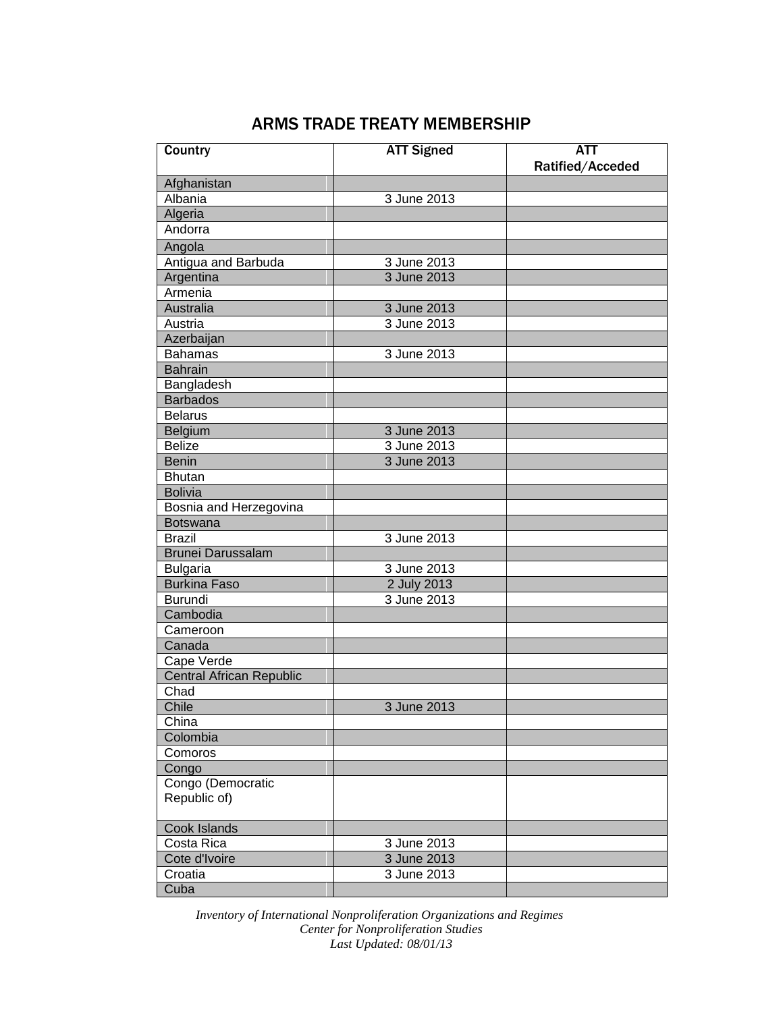## ARMS TRADE TREATY MEMBERSHIP

| Country                         | <b>ATT Signed</b> | $\overline{ATT}$ |
|---------------------------------|-------------------|------------------|
|                                 |                   | Ratified/Acceded |
| Afghanistan                     |                   |                  |
| Albania                         | 3 June 2013       |                  |
| Algeria                         |                   |                  |
| Andorra                         |                   |                  |
| Angola                          |                   |                  |
| Antigua and Barbuda             | 3 June 2013       |                  |
| Argentina                       | 3 June 2013       |                  |
| Armenia                         |                   |                  |
| Australia                       | 3 June 2013       |                  |
| Austria                         | 3 June 2013       |                  |
| Azerbaijan                      |                   |                  |
| <b>Bahamas</b>                  | 3 June 2013       |                  |
| <b>Bahrain</b>                  |                   |                  |
| Bangladesh                      |                   |                  |
| <b>Barbados</b>                 |                   |                  |
| <b>Belarus</b>                  |                   |                  |
| Belgium                         | 3 June 2013       |                  |
| <b>Belize</b>                   | 3 June 2013       |                  |
| <b>Benin</b>                    | 3 June 2013       |                  |
| <b>Bhutan</b>                   |                   |                  |
| <b>Bolivia</b>                  |                   |                  |
| Bosnia and Herzegovina          |                   |                  |
| <b>Botswana</b>                 |                   |                  |
| <b>Brazil</b>                   | 3 June 2013       |                  |
| <b>Brunei Darussalam</b>        |                   |                  |
| <b>Bulgaria</b>                 | 3 June 2013       |                  |
| <b>Burkina Faso</b>             | 2 July 2013       |                  |
| <b>Burundi</b>                  | 3 June 2013       |                  |
| Cambodia                        |                   |                  |
| Cameroon                        |                   |                  |
| Canada                          |                   |                  |
| Cape Verde                      |                   |                  |
| <b>Central African Republic</b> |                   |                  |
| Chad                            |                   |                  |
| Chile                           | 3 June 2013       |                  |
| China                           |                   |                  |
| Colombia                        |                   |                  |
| Comoros                         |                   |                  |
| Congo                           |                   |                  |
| Congo (Democratic               |                   |                  |
| Republic of)                    |                   |                  |
| Cook Islands                    |                   |                  |
| Costa Rica                      | 3 June 2013       |                  |
| Cote d'Ivoire                   | 3 June 2013       |                  |
| Croatia                         | 3 June 2013       |                  |
| Cuba                            |                   |                  |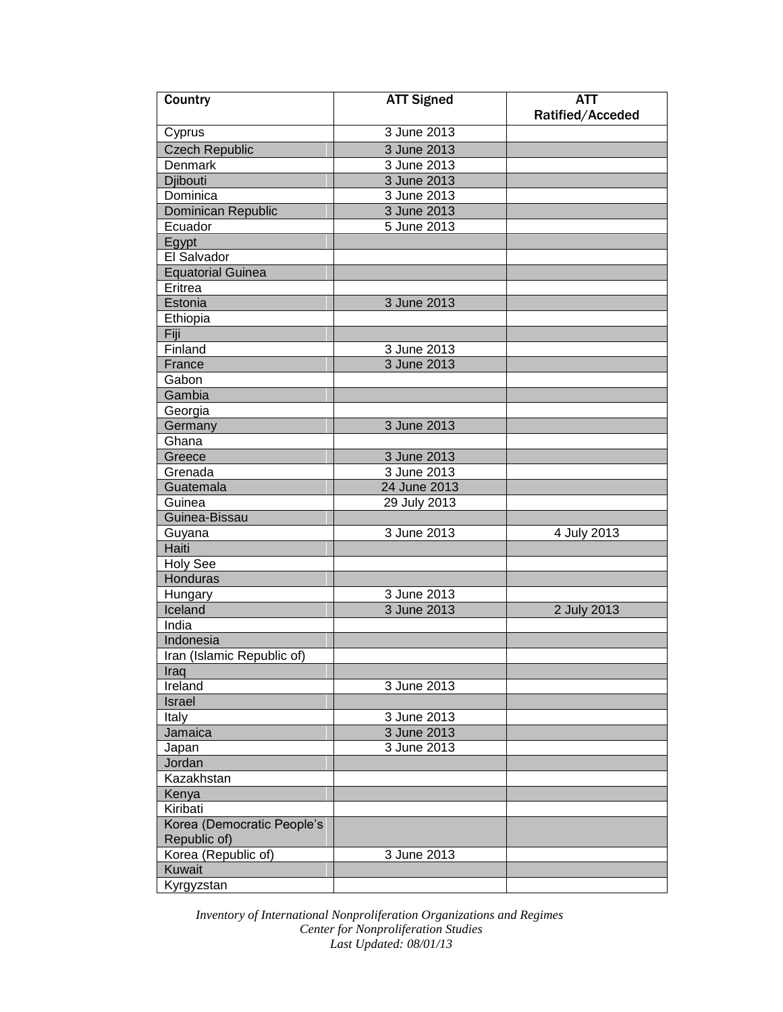| Country                    | <b>ATT Signed</b>          | <b>ATT</b>       |
|----------------------------|----------------------------|------------------|
|                            |                            | Ratified/Acceded |
| Cyprus                     | 3 June 2013                |                  |
| <b>Czech Republic</b>      | 3 June 2013                |                  |
| <b>Denmark</b>             | 3 June 2013                |                  |
| <b>Djibouti</b>            | 3 June 2013                |                  |
| Dominica                   | 3 June 2013                |                  |
| Dominican Republic         | 3 June 2013                |                  |
| Ecuador                    | 5 June 2013                |                  |
| Egypt                      |                            |                  |
| El Salvador                |                            |                  |
| <b>Equatorial Guinea</b>   |                            |                  |
| Eritrea                    |                            |                  |
| Estonia                    | 3 June 2013                |                  |
| Ethiopia                   |                            |                  |
| Fiji                       |                            |                  |
| Finland                    | 3 June 2013                |                  |
| France                     | 3 June 2013                |                  |
| Gabon                      |                            |                  |
| Gambia                     |                            |                  |
| Georgia                    |                            |                  |
| Germany                    | 3 June 2013                |                  |
| Ghana                      |                            |                  |
| Greece                     | 3 June 2013                |                  |
| Grenada                    | 3 June 2013                |                  |
| Guatemala                  | 24 June 2013               |                  |
| Guinea                     | 29 July 2013               |                  |
| Guinea-Bissau              |                            |                  |
|                            | 3 June 2013                | 4 July 2013      |
| Guyana<br>Haiti            |                            |                  |
| <b>Holy See</b>            |                            |                  |
| <b>Honduras</b>            |                            |                  |
|                            | 3 June 2013                |                  |
| Hungary<br>Iceland         | 3 June 2013                | 2 July 2013      |
| India                      |                            |                  |
| Indonesia                  |                            |                  |
| Iran (Islamic Republic of) |                            |                  |
| Iraq                       |                            |                  |
| Ireland                    | 3 June 2013                |                  |
|                            |                            |                  |
| Israel                     |                            |                  |
| Italy<br>Jamaica           | 3 June 2013<br>3 June 2013 |                  |
|                            |                            |                  |
| Japan                      | 3 June 2013                |                  |
| Jordan                     |                            |                  |
| Kazakhstan                 |                            |                  |
| Kenya                      |                            |                  |
| Kiribati                   |                            |                  |
| Korea (Democratic People's |                            |                  |
| Republic of)               |                            |                  |
| Korea (Republic of)        | 3 June 2013                |                  |
| Kuwait                     |                            |                  |
| Kyrgyzstan                 |                            |                  |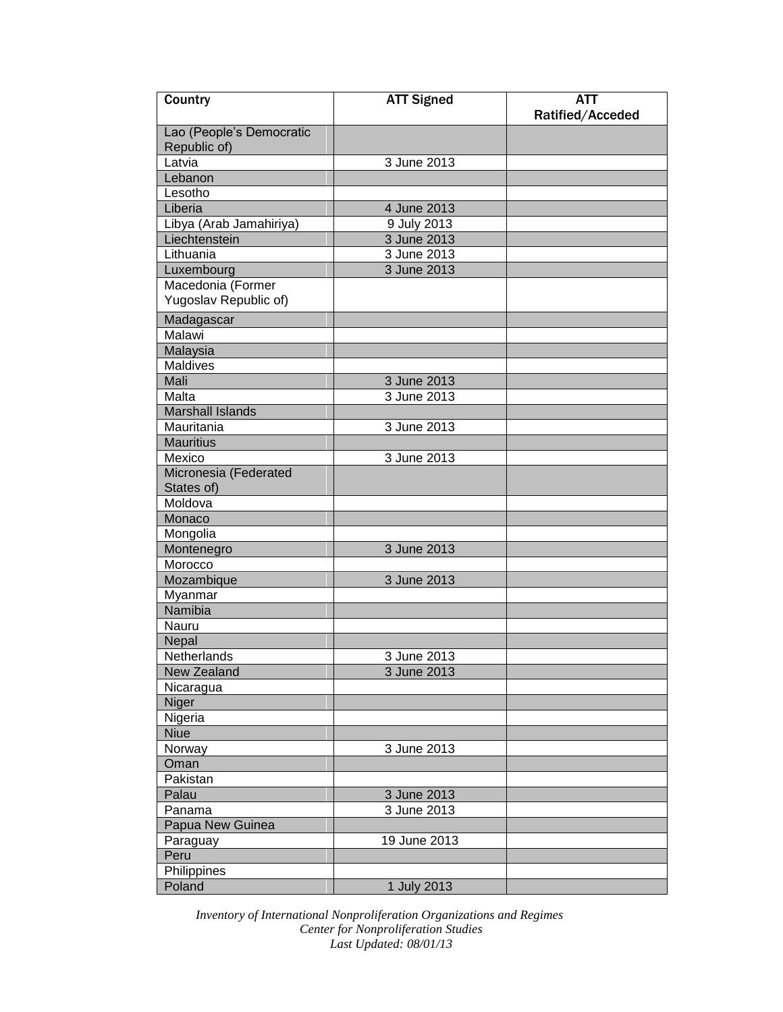| Country                                  | <b>ATT Signed</b> | ATT              |
|------------------------------------------|-------------------|------------------|
|                                          |                   | Ratified/Acceded |
| Lao (People's Democratic<br>Republic of) |                   |                  |
| Latvia                                   | 3 June 2013       |                  |
| Lebanon                                  |                   |                  |
| Lesotho                                  |                   |                  |
| Liberia                                  | 4 June 2013       |                  |
| Libya (Arab Jamahiriya)                  | 9 July 2013       |                  |
| Liechtenstein                            | 3 June 2013       |                  |
| Lithuania                                | 3 June 2013       |                  |
| Luxembourg                               | 3 June 2013       |                  |
| Macedonia (Former                        |                   |                  |
| Yugoslav Republic of)                    |                   |                  |
| Madagascar                               |                   |                  |
| Malawi                                   |                   |                  |
| Malaysia                                 |                   |                  |
| <b>Maldives</b>                          |                   |                  |
| Mali                                     | 3 June 2013       |                  |
| Malta                                    | 3 June 2013       |                  |
| <b>Marshall Islands</b>                  |                   |                  |
| Mauritania                               | 3 June 2013       |                  |
| <b>Mauritius</b>                         |                   |                  |
| Mexico                                   | 3 June 2013       |                  |
| Micronesia (Federated                    |                   |                  |
| States of)                               |                   |                  |
| Moldova                                  |                   |                  |
| Monaco                                   |                   |                  |
| Mongolia                                 |                   |                  |
| Montenegro                               | 3 June 2013       |                  |
| Morocco                                  |                   |                  |
| Mozambique                               | 3 June 2013       |                  |
| Myanmar                                  |                   |                  |
| Namibia                                  |                   |                  |
| Nauru                                    |                   |                  |
| Nepal                                    |                   |                  |
| Netherlands                              | 3 June 2013       |                  |
| <b>New Zealand</b>                       | 3 June 2013       |                  |
| Nicaragua                                |                   |                  |
| Niger                                    |                   |                  |
| Nigeria                                  |                   |                  |
| <b>Niue</b>                              |                   |                  |
| Norway                                   | 3 June 2013       |                  |
| Oman                                     |                   |                  |
| Pakistan                                 |                   |                  |
| Palau                                    | 3 June 2013       |                  |
| Panama                                   | 3 June 2013       |                  |
| Papua New Guinea                         |                   |                  |
| Paraguay                                 | 19 June 2013      |                  |
| Peru                                     |                   |                  |
| <b>Philippines</b>                       |                   |                  |
| Poland                                   | 1 July 2013       |                  |
|                                          |                   |                  |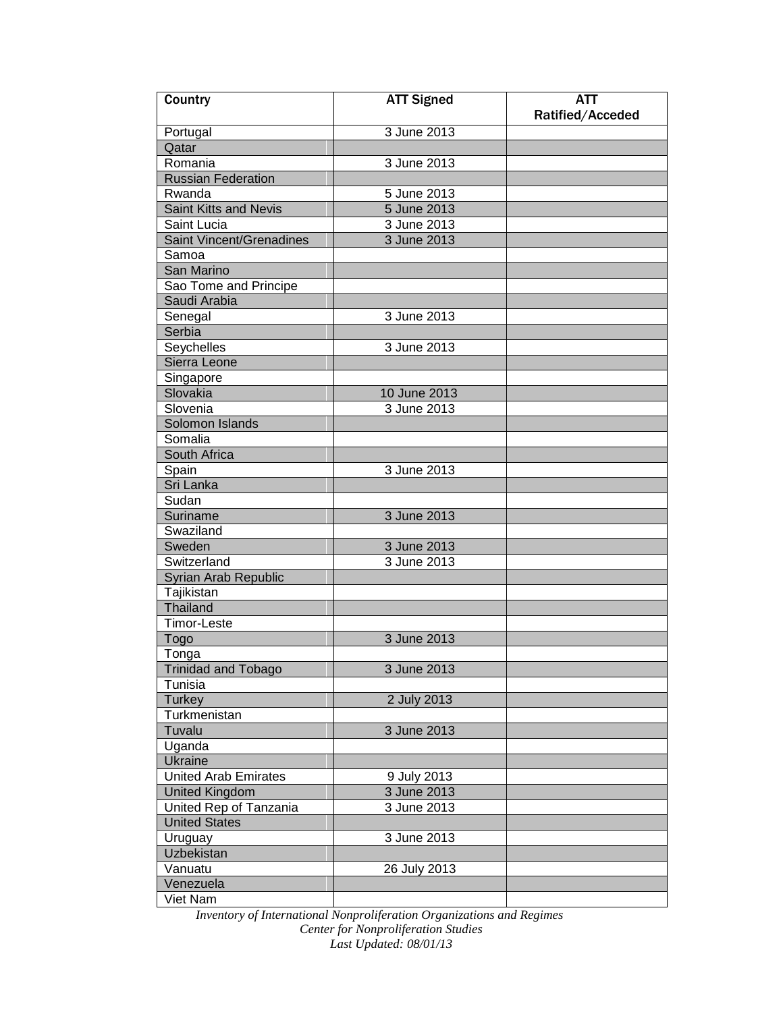| Country                         | <b>ATT Signed</b> | ATT              |
|---------------------------------|-------------------|------------------|
|                                 |                   | Ratified/Acceded |
| Portugal                        | 3 June 2013       |                  |
| Qatar                           |                   |                  |
| Romania                         | 3 June 2013       |                  |
| <b>Russian Federation</b>       |                   |                  |
| Rwanda                          | 5 June 2013       |                  |
| <b>Saint Kitts and Nevis</b>    | 5 June 2013       |                  |
| Saint Lucia                     | 3 June 2013       |                  |
| <b>Saint Vincent/Grenadines</b> | 3 June 2013       |                  |
| Samoa                           |                   |                  |
| San Marino                      |                   |                  |
| Sao Tome and Principe           |                   |                  |
| Saudi Arabia                    |                   |                  |
| Senegal                         | 3 June 2013       |                  |
| Serbia                          |                   |                  |
| Seychelles                      | 3 June 2013       |                  |
| Sierra Leone                    |                   |                  |
| Singapore                       |                   |                  |
| Slovakia                        | 10 June 2013      |                  |
| Slovenia                        | 3 June 2013       |                  |
| Solomon Islands                 |                   |                  |
| Somalia                         |                   |                  |
| South Africa                    |                   |                  |
| Spain                           | 3 June 2013       |                  |
| Sri Lanka                       |                   |                  |
| Sudan                           |                   |                  |
| Suriname                        | 3 June 2013       |                  |
| Swaziland                       |                   |                  |
| Sweden                          | 3 June 2013       |                  |
| Switzerland                     | 3 June 2013       |                  |
| Syrian Arab Republic            |                   |                  |
| Tajikistan                      |                   |                  |
| Thailand                        |                   |                  |
| <b>Timor-Leste</b>              |                   |                  |
| Togo                            | 3 June 2013       |                  |
| Tonga                           |                   |                  |
| <b>Trinidad and Tobago</b>      | 3 June 2013       |                  |
| Tunisia                         |                   |                  |
| <b>Turkey</b>                   | 2 July 2013       |                  |
| Turkmenistan                    |                   |                  |
| Tuvalu                          | 3 June 2013       |                  |
| Uganda                          |                   |                  |
| <b>Ukraine</b>                  |                   |                  |
| <b>United Arab Emirates</b>     | 9 July 2013       |                  |
| <b>United Kingdom</b>           | 3 June 2013       |                  |
| United Rep of Tanzania          | 3 June 2013       |                  |
| <b>United States</b>            |                   |                  |
| Uruguay                         | 3 June 2013       |                  |
| Uzbekistan                      |                   |                  |
| Vanuatu                         | 26 July 2013      |                  |
| Venezuela                       |                   |                  |
| Viet Nam                        |                   |                  |
|                                 |                   |                  |